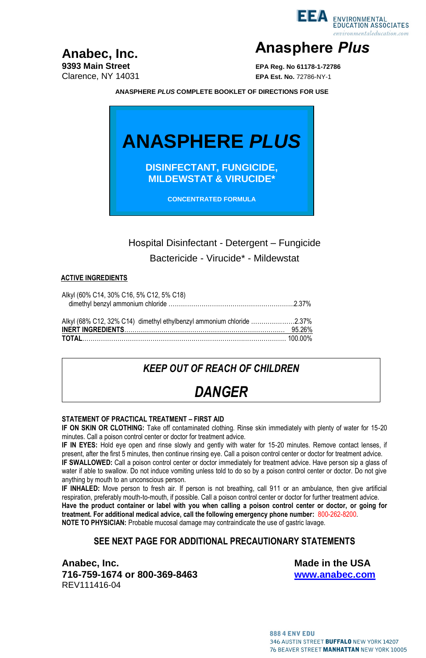

Clarence, NY 14031 **EPA Est. No.** 72786-NY-1

# **Anabec, Inc. Anasphere** *Plus*

**9393 Main Street EPA Reg. No 61178-1-72786**

**ANASPHERE** *PLUS* **COMPLETE BOOKLET OF DIRECTIONS FOR USE**



Hospital Disinfectant - Detergent – Fungicide

Bactericide - Virucide\* - Mildewstat

#### **ACTIVE INGREDIENTS**

| Alkyl (60% C14, 30% C16, 5% C12, 5% C18)                              |  |
|-----------------------------------------------------------------------|--|
|                                                                       |  |
|                                                                       |  |
| Alkyl (68% C12, 32% C14) dimethyl ethylbenzyl ammonium chloride 2.37% |  |
|                                                                       |  |

| $95.20\%$ |
|-----------|
|           |

## *KEEP OUT OF REACH OF CHILDREN*

## *DANGER*

#### **STATEMENT OF PRACTICAL TREATMENT – FIRST AID**

**IF ON SKIN OR CLOTHING:** Take off contaminated clothing. Rinse skin immediately with plenty of water for 15-20 minutes. Call a poison control center or doctor for treatment advice.

**IF IN EYES:** Hold eye open and rinse slowly and gently with water for 15-20 minutes. Remove contact lenses, if present, after the first 5 minutes, then continue rinsing eye. Call a poison control center or doctor for treatment advice. **IF SWALLOWED:** Call a poison control center or doctor immediately for treatment advice. Have person sip a glass of water if able to swallow. Do not induce vomiting unless told to do so by a poison control center or doctor. Do not give anything by mouth to an unconscious person.

**IF INHALED:** Move person to fresh air. If person is not breathing, call 911 or an ambulance, then give artificial respiration, preferably mouth-to-mouth, if possible. Call a poison control center or doctor for further treatment advice. **Have the product container or label with you when calling a poison control center or doctor, or going for treatment. For additional medical advice, call the following emergency phone number:** 800-262-8200. **NOTE TO PHYSICIAN:** Probable mucosal damage may contraindicate the use of gastric lavage.

#### **SEE NEXT PAGE FOR ADDITIONAL PRECAUTIONARY STATEMENTS**

**Anabec, Inc. Made in the USA 716-759-1674 or 800-369-8463 [www.anabec.com](http://www.anabec.com/)** REV111416-04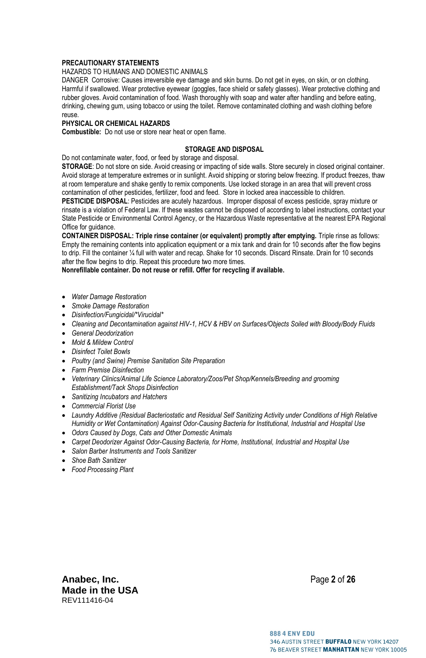#### **PRECAUTIONARY STATEMENTS**

#### HAZARDS TO HUMANS AND DOMESTIC ANIMALS

DANGER Corrosive: Causes irreversible eye damage and skin burns. Do not get in eyes, on skin, or on clothing. Harmful if swallowed. Wear protective eyewear (goggles, face shield or safety glasses). Wear protective clothing and rubber gloves. Avoid contamination of food. Wash thoroughly with soap and water after handling and before eating, drinking, chewing gum, using tobacco or using the toilet. Remove contaminated clothing and wash clothing before reuse.

#### **PHYSICAL OR CHEMICAL HAZARDS**

**Combustible:** Do not use or store near heat or open flame.

#### **STORAGE AND DISPOSAL**

Do not contaminate water, food, or feed by storage and disposal.

**STORAGE**: Do not store on side. Avoid creasing or impacting of side walls. Store securely in closed original container. Avoid storage at temperature extremes or in sunlight. Avoid shipping or storing below freezing. If product freezes, thaw at room temperature and shake gently to remix components. Use locked storage in an area that will prevent cross contamination of other pesticides, fertilizer, food and feed. Store in locked area inaccessible to children.

**PESTICIDE DISPOSAL**: Pesticides are acutely hazardous. Improper disposal of excess pesticide, spray mixture or rinsate is a violation of Federal Law. If these wastes cannot be disposed of according to label instructions, contact your State Pesticide or Environmental Control Agency, or the Hazardous Waste representative at the nearest EPA Regional Office for quidance.

**CONTAINER DISPOSAL: Triple rinse container (or equivalent) promptly after emptying.** Triple rinse as follows: Empty the remaining contents into application equipment or a mix tank and drain for 10 seconds after the flow begins to drip. Fill the container 1/4 full with water and recap. Shake for 10 seconds. Discard Rinsate. Drain for 10 seconds after the flow begins to drip. Repeat this procedure two more times.

**Nonrefillable container. Do not reuse or refill. Offer for recycling if available.**

- *Water Damage Restoration*
- *Smoke Damage Restoration*
- *Disinfection/Fungicidal/\*Virucidal\**
- *Cleaning and Decontamination against HIV-1, HCV & HBV on Surfaces/Objects Soiled with Bloody/Body Fluids*
- *General Deodorization*
- *Mold & Mildew Control*
- *Disinfect Toilet Bowls*
- *Poultry (and Swine) Premise Sanitation Site Preparation*
- *Farm Premise Disinfection*
- *Veterinary Clinics/Animal Life Science Laboratory/Zoos/Pet Shop/Kennels/Breeding and grooming Establishment/Tack Shops Disinfection*
- *Sanitizing Incubators and Hatchers*
- *Commercial Florist Use*
- *Laundry Additive (Residual Bacteriostatic and Residual Self Sanitizing Activity under Conditions of High Relative Humidity or Wet Contamination) Against Odor-Causing Bacteria for Institutional, Industrial and Hospital Use*
- *Odors Caused by Dogs, Cats and Other Domestic Animals*
- *Carpet Deodorizer Against Odor-Causing Bacteria, for Home, Institutional, Industrial and Hospital Use*
- *Salon Barber Instruments and Tools Sanitizer*
- *Shoe Bath Sanitizer*
- *Food Processing Plant*

**Anabec, Inc.** Page 2 of 26 **Made in the USA** REV111416-04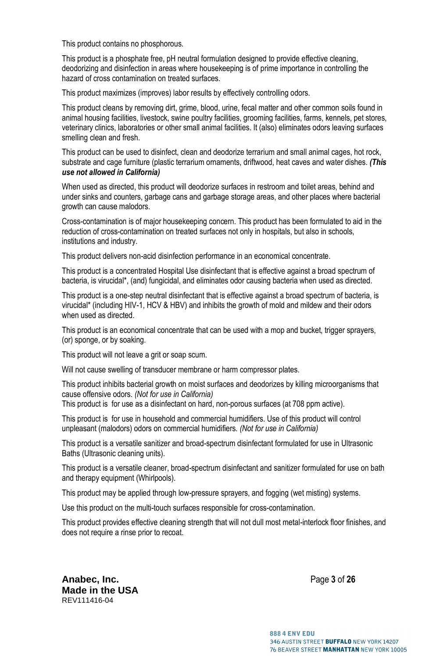This product contains no phosphorous.

This product is a phosphate free, pH neutral formulation designed to provide effective cleaning, deodorizing and disinfection in areas where housekeeping is of prime importance in controlling the hazard of cross contamination on treated surfaces.

This product maximizes (improves) labor results by effectively controlling odors.

This product cleans by removing dirt, grime, blood, urine, fecal matter and other common soils found in animal housing facilities, livestock, swine poultry facilities, grooming facilities, farms, kennels, pet stores, veterinary clinics, laboratories or other small animal facilities. It (also) eliminates odors leaving surfaces smelling clean and fresh.

This product can be used to disinfect, clean and deodorize terrarium and small animal cages, hot rock, substrate and cage furniture (plastic terrarium ornaments, driftwood, heat caves and water dishes. *(This use not allowed in California)*

When used as directed, this product will deodorize surfaces in restroom and toilet areas, behind and under sinks and counters, garbage cans and garbage storage areas, and other places where bacterial growth can cause malodors.

Cross-contamination is of major housekeeping concern. This product has been formulated to aid in the reduction of cross-contamination on treated surfaces not only in hospitals, but also in schools, institutions and industry.

This product delivers non-acid disinfection performance in an economical concentrate.

This product is a concentrated Hospital Use disinfectant that is effective against a broad spectrum of bacteria, is virucidal\*, (and) fungicidal, and eliminates odor causing bacteria when used as directed.

This product is a one-step neutral disinfectant that is effective against a broad spectrum of bacteria, is virucidal\* (including HIV-1, HCV & HBV) and inhibits the growth of mold and mildew and their odors when used as directed.

This product is an economical concentrate that can be used with a mop and bucket, trigger sprayers, (or) sponge, or by soaking.

This product will not leave a grit or soap scum.

Will not cause swelling of transducer membrane or harm compressor plates.

This product inhibits bacterial growth on moist surfaces and deodorizes by killing microorganisms that cause offensive odors. *(Not for use in California)*

This product is for use as a disinfectant on hard, non-porous surfaces (at 708 ppm active).

This product is for use in household and commercial humidifiers. Use of this product will control unpleasant (malodors) odors on commercial humidifiers. *(Not for use in California)*

This product is a versatile sanitizer and broad-spectrum disinfectant formulated for use in Ultrasonic Baths (Ultrasonic cleaning units).

This product is a versatile cleaner, broad-spectrum disinfectant and sanitizer formulated for use on bath and therapy equipment (Whirlpools).

This product may be applied through low-pressure sprayers, and fogging (wet misting) systems.

Use this product on the multi-touch surfaces responsible for cross-contamination.

This product provides effective cleaning strength that will not dull most metal-interlock floor finishes, and does not require a rinse prior to recoat.

**Anabec, Inc.** Page 3 of 26 **Made in the USA** REV111416-04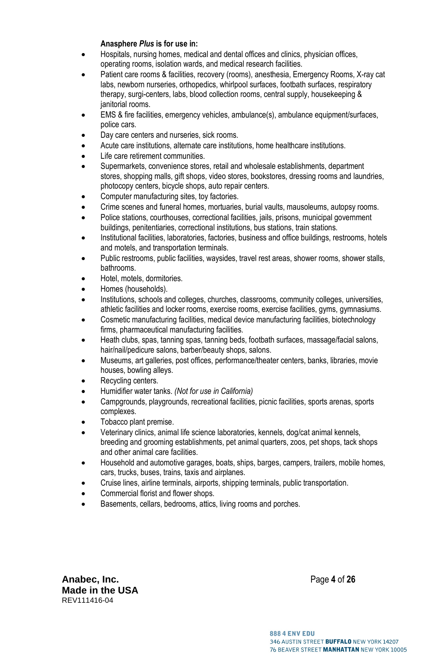#### **Anasphere** *Plus* **is for use in:**

- Hospitals, nursing homes, medical and dental offices and clinics, physician offices, operating rooms, isolation wards, and medical research facilities.
- Patient care rooms & facilities, recovery (rooms), anesthesia, Emergency Rooms, X-ray cat labs, newborn nurseries, orthopedics, whirlpool surfaces, footbath surfaces, respiratory therapy, surgi-centers, labs, blood collection rooms, central supply, housekeeping & ianitorial rooms.
- EMS & fire facilities, emergency vehicles, ambulance(s), ambulance equipment/surfaces, police cars.
- Day care centers and nurseries, sick rooms.
- Acute care institutions, alternate care institutions, home healthcare institutions.
- Life care retirement communities.
- Supermarkets, convenience stores, retail and wholesale establishments, department stores, shopping malls, gift shops, video stores, bookstores, dressing rooms and laundries, photocopy centers, bicycle shops, auto repair centers.
- Computer manufacturing sites, toy factories.
- Crime scenes and funeral homes, mortuaries, burial vaults, mausoleums, autopsy rooms.
- Police stations, courthouses, correctional facilities, jails, prisons, municipal government buildings, penitentiaries, correctional institutions, bus stations, train stations.
- Institutional facilities, laboratories, factories, business and office buildings, restrooms, hotels and motels, and transportation terminals.
- Public restrooms, public facilities, waysides, travel rest areas, shower rooms, shower stalls, bathrooms.
- Hotel, motels, dormitories.
- Homes (households).
- Institutions, schools and colleges, churches, classrooms, community colleges, universities, athletic facilities and locker rooms, exercise rooms, exercise facilities, gyms, gymnasiums.
- Cosmetic manufacturing facilities, medical device manufacturing facilities, biotechnology firms, pharmaceutical manufacturing facilities.
- Heath clubs, spas, tanning spas, tanning beds, footbath surfaces, massage/facial salons, hair/nail/pedicure salons, barber/beauty shops, salons.
- Museums, art galleries, post offices, performance/theater centers, banks, libraries, movie houses, bowling alleys.
- Recycling centers.
- Humidifier water tanks. *(Not for use in California)*
- Campgrounds, playgrounds, recreational facilities, picnic facilities, sports arenas, sports complexes.
- Tobacco plant premise.
- Veterinary clinics, animal life science laboratories, kennels, dog/cat animal kennels, breeding and grooming establishments, pet animal quarters, zoos, pet shops, tack shops and other animal care facilities.
- Household and automotive garages, boats, ships, barges, campers, trailers, mobile homes, cars, trucks, buses, trains, taxis and airplanes.
- Cruise lines, airline terminals, airports, shipping terminals, public transportation.
- Commercial florist and flower shops.
- Basements, cellars, bedrooms, attics, living rooms and porches.

**Anabec, Inc.** Page 4 of 26 **Made in the USA** REV111416-04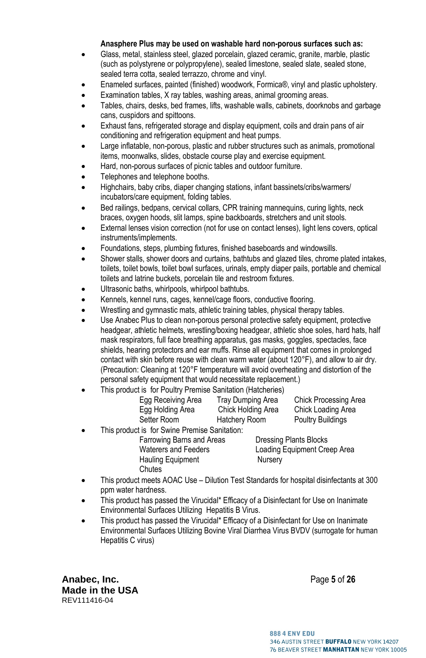#### **Anasphere Plus may be used on washable hard non-porous surfaces such as:**

- Glass, metal, stainless steel, glazed porcelain, glazed ceramic, granite, marble, plastic (such as polystyrene or polypropylene), sealed limestone, sealed slate, sealed stone, sealed terra cotta, sealed terrazzo, chrome and vinyl.
- Enameled surfaces, painted (finished) woodwork, Formica®, vinyl and plastic upholstery.
- Examination tables, X ray tables, washing areas, animal grooming areas.
- Tables, chairs, desks, bed frames, lifts, washable walls, cabinets, doorknobs and garbage cans, cuspidors and spittoons.
- Exhaust fans, refrigerated storage and display equipment, coils and drain pans of air conditioning and refrigeration equipment and heat pumps.
- Large inflatable, non-porous, plastic and rubber structures such as animals, promotional items, moonwalks, slides, obstacle course play and exercise equipment.
- Hard, non-porous surfaces of picnic tables and outdoor furniture.
- Telephones and telephone booths.
- Highchairs, baby cribs, diaper changing stations, infant bassinets/cribs/warmers/ incubators/care equipment, folding tables.
- Bed railings, bedpans, cervical collars, CPR training mannequins, curing lights, neck braces, oxygen hoods, slit lamps, spine backboards, stretchers and unit stools.
- External lenses vision correction (not for use on contact lenses), light lens covers, optical instruments/implements.
- Foundations, steps, plumbing fixtures, finished baseboards and windowsills.
- Shower stalls, shower doors and curtains, bathtubs and glazed tiles, chrome plated intakes, toilets, toilet bowls, toilet bowl surfaces, urinals, empty diaper pails, portable and chemical toilets and latrine buckets, porcelain tile and restroom fixtures.
- Ultrasonic baths, whirlpools, whirlpool bathtubs.
- Kennels, kennel runs, cages, kennel/cage floors, conductive flooring.
- Wrestling and gymnastic mats, athletic training tables, physical therapy tables.
- Use Anabec Plus to clean non-porous personal protective safety equipment, protective headgear, athletic helmets, wrestling/boxing headgear, athletic shoe soles, hard hats, half mask respirators, full face breathing apparatus, gas masks, goggles, spectacles, face shields, hearing protectors and ear muffs. Rinse all equipment that comes in prolonged contact with skin before reuse with clean warm water (about 120°F), and allow to air dry. (Precaution: Cleaning at 120°F temperature will avoid overheating and distortion of the personal safety equipment that would necessitate replacement.)
- This product is for Poultry Premise Sanitation (Hatcheries)

| Egg Receiving Area | Tray Dumping Area  | <b>Chick Processing Area</b> |
|--------------------|--------------------|------------------------------|
| Egg Holding Area   | Chick Holding Area | Chick Loading Area           |
| Setter Room        | Hatchery Room      | <b>Poultry Buildings</b>     |

- This product is for Swine Premise Sanitation:
	- Farrowing Barns and Areas **Dressing Plants Blocks**<br>Waterers and Feeders **Dressing Equipment Cre** Hauling Equipment Nursery **Chutes**

Loading Equipment Creep Area

- This product meets AOAC Use Dilution Test Standards for hospital disinfectants at 300 ppm water hardness.
- This product has passed the Virucidal\* Efficacy of a Disinfectant for Use on Inanimate Environmental Surfaces Utilizing Hepatitis B Virus.
- This product has passed the Virucidal\* Efficacy of a Disinfectant for Use on Inanimate Environmental Surfaces Utilizing Bovine Viral Diarrhea Virus BVDV (surrogate for human Hepatitis C virus)

**Anabec, Inc.** Page 5 of 26 **Made in the USA** REV111416-04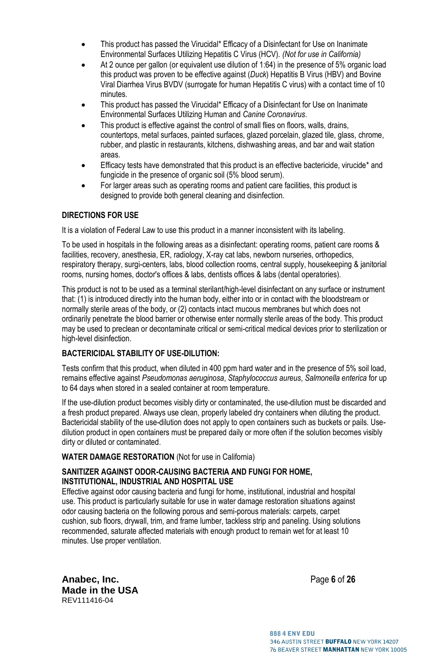- This product has passed the Virucidal\* Efficacy of a Disinfectant for Use on Inanimate Environmental Surfaces Utilizing Hepatitis C Virus (HCV). *(Not for use in California)*
- At 2 ounce per gallon (or equivalent use dilution of 1:64) in the presence of 5% organic load this product was proven to be effective against (*Duck*) Hepatitis B Virus (HBV) and Bovine Viral Diarrhea Virus BVDV (surrogate for human Hepatitis C virus) with a contact time of 10 minutes.
- This product has passed the Virucidal\* Efficacy of a Disinfectant for Use on Inanimate Environmental Surfaces Utilizing Human and *Canine Coronavirus*.
- This product is effective against the control of small flies on floors, walls, drains, countertops, metal surfaces, painted surfaces, glazed porcelain, glazed tile, glass, chrome, rubber, and plastic in restaurants, kitchens, dishwashing areas, and bar and wait station areas.
- Efficacy tests have demonstrated that this product is an effective bactericide, virucide\* and fungicide in the presence of organic soil (5% blood serum).
- For larger areas such as operating rooms and patient care facilities, this product is designed to provide both general cleaning and disinfection.

#### **DIRECTIONS FOR USE**

It is a violation of Federal Law to use this product in a manner inconsistent with its labeling.

To be used in hospitals in the following areas as a disinfectant: operating rooms, patient care rooms & facilities, recovery, anesthesia, ER, radiology, X-ray cat labs, newborn nurseries, orthopedics, respiratory therapy, surgi-centers, labs, blood collection rooms, central supply, housekeeping & janitorial rooms, nursing homes, doctor's offices & labs, dentists offices & labs (dental operatories).

This product is not to be used as a terminal sterilant/high-level disinfectant on any surface or instrument that: (1) is introduced directly into the human body, either into or in contact with the bloodstream or normally sterile areas of the body, or (2) contacts intact mucous membranes but which does not ordinarily penetrate the blood barrier or otherwise enter normally sterile areas of the body. This product may be used to preclean or decontaminate critical or semi-critical medical devices prior to sterilization or high-level disinfection.

#### **BACTERICIDAL STABILITY OF USE-DILUTION:**

Tests confirm that this product, when diluted in 400 ppm hard water and in the presence of 5% soil load, remains effective against *Pseudomonas aeruginosa*, *Staphylococcus aureus*, *Salmonella enterica* for up to 64 days when stored in a sealed container at room temperature.

If the use-dilution product becomes visibly dirty or contaminated, the use-dilution must be discarded and a fresh product prepared. Always use clean, properly labeled dry containers when diluting the product. Bactericidal stability of the use-dilution does not apply to open containers such as buckets or pails. Usedilution product in open containers must be prepared daily or more often if the solution becomes visibly dirty or diluted or contaminated.

#### **WATER DAMAGE RESTORATION** (Not for use in California)

#### **SANITIZER AGAINST ODOR-CAUSING BACTERIA AND FUNGI FOR HOME, INSTITUTIONAL, INDUSTRIAL AND HOSPITAL USE**

Effective against odor causing bacteria and fungi for home, institutional, industrial and hospital use. This product is particularly suitable for use in water damage restoration situations against odor causing bacteria on the following porous and semi-porous materials: carpets, carpet cushion, sub floors, drywall, trim, and frame lumber, tackless strip and paneling. Using solutions recommended, saturate affected materials with enough product to remain wet for at least 10 minutes. Use proper ventilation.

| Anabec, Inc.    |  |  |  |
|-----------------|--|--|--|
| Made in the USA |  |  |  |
| REV111416-04    |  |  |  |

**Anabec, Inc.** Page **6** of **26**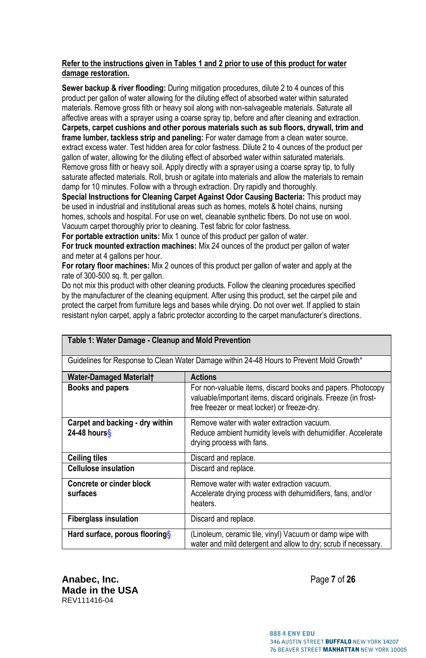#### **Refer to the instructions given in Tables 1 and 2 prior to use of this product for water damage restoration.**

**Sewer backup & river flooding:** During mitigation procedures, dilute 2 to 4 ounces of this product per gallon of water allowing for the diluting effect of absorbed water within saturated materials. Remove gross filth or heavy soil along with non-salvageable materials. Saturate all affective areas with a sprayer using a coarse spray tip, before and after cleaning and extraction. **Carpets, carpet cushions and other porous materials such as sub floors, drywall, trim and frame lumber, tackless strip and paneling:** For water damage from a clean water source, extract excess water. Test hidden area for color fastness. Dilute 2 to 4 ounces of the product per gallon of water, allowing for the diluting effect of absorbed water within saturated materials. Remove gross filth or heavy soil. Apply directly with a sprayer using a coarse spray tip, to fully saturate affected materials. Roll, brush or agitate into materials and allow the materials to remain damp for 10 minutes. Follow with a through extraction. Dry rapidly and thoroughly.

**Special Instructions for Cleaning Carpet Against Odor Causing Bacteria:** This product may be used in industrial and institutional areas such as homes, motels & hotel chains, nursing homes, schools and hospital. For use on wet, cleanable synthetic fibers. Do not use on wool. Vacuum carpet thoroughly prior to cleaning. Test fabric for color fastness.

**For portable extraction units:** Mix 1 ounce of this product per gallon of water.

**For truck mounted extraction machines:** Mix 24 ounces of the product per gallon of water and meter at 4 gallons per hour.

**For rotary floor machines:** Mix 2 ounces of this product per gallon of water and apply at the rate of 300-500 sq. ft. per gallon.

Do not mix this product with other cleaning products. Follow the cleaning procedures specified by the manufacturer of the cleaning equipment. After using this product, set the carpet pile and protect the carpet from furniture legs and bases while drying. Do not over wet. If applied to stain resistant nylon carpet, apply a fabric protector according to the carpet manufacturer's directions.

| Table 1: Water Damage - Cleanup and Mold Prevention                                      |                                                                                                                                                                              |  |
|------------------------------------------------------------------------------------------|------------------------------------------------------------------------------------------------------------------------------------------------------------------------------|--|
| Guidelines for Response to Clean Water Damage within 24-48 Hours to Prevent Mold Growth* |                                                                                                                                                                              |  |
| <b>Water-Damaged Materialt</b>                                                           | <b>Actions</b>                                                                                                                                                               |  |
| <b>Books and papers</b>                                                                  | For non-valuable items, discard books and papers. Photocopy<br>valuable/important items, discard originals. Freeze (in frost-<br>free freezer or meat locker) or freeze-dry. |  |
| Carpet and backing - dry within<br>24-48 hours§                                          | Remove water with water extraction vacuum.<br>Reduce ambient humidity levels with dehumidifier. Accelerate<br>drying process with fans.                                      |  |
| <b>Ceiling tiles</b>                                                                     | Discard and replace.                                                                                                                                                         |  |
| <b>Cellulose insulation</b>                                                              | Discard and replace.                                                                                                                                                         |  |
| Concrete or cinder block<br>surfaces                                                     | Remove water with water extraction vacuum.<br>Accelerate drying process with dehumidifiers, fans, and/or<br>heaters.                                                         |  |
| <b>Fiberglass insulation</b>                                                             | Discard and replace.                                                                                                                                                         |  |
| Hard surface, porous floorings                                                           | (Linoleum, ceramic tile, vinyl) Vacuum or damp wipe with<br>water and mild detergent and allow to dry; scrub if necessary.                                                   |  |

**Table 1: Water Damage - Cleanup and Mold Prevention**

**Anabec, Inc.** Page 7 of 26 **Made in the USA** REV111416-04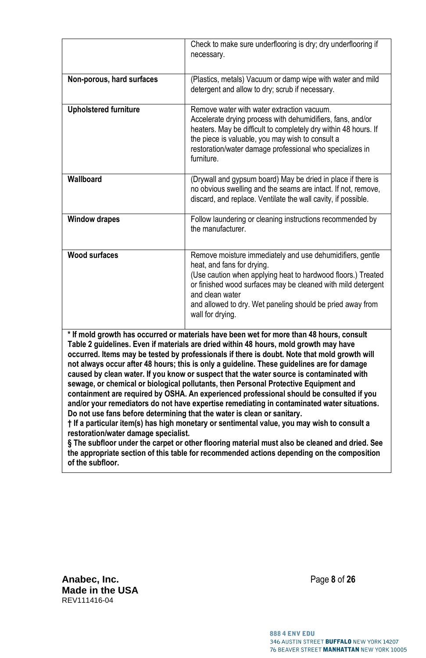|                                                                                                                                                                                                                                                                                                                                                                                                                                                                                                                                                                                                                                                                                                                                                                                                                                                                                                                                                                                                                                                                                                                                                                                                      | Check to make sure underflooring is dry; dry underflooring if<br>necessary.                                                                                                                                                                                                                                                  |  |
|------------------------------------------------------------------------------------------------------------------------------------------------------------------------------------------------------------------------------------------------------------------------------------------------------------------------------------------------------------------------------------------------------------------------------------------------------------------------------------------------------------------------------------------------------------------------------------------------------------------------------------------------------------------------------------------------------------------------------------------------------------------------------------------------------------------------------------------------------------------------------------------------------------------------------------------------------------------------------------------------------------------------------------------------------------------------------------------------------------------------------------------------------------------------------------------------------|------------------------------------------------------------------------------------------------------------------------------------------------------------------------------------------------------------------------------------------------------------------------------------------------------------------------------|--|
| Non-porous, hard surfaces                                                                                                                                                                                                                                                                                                                                                                                                                                                                                                                                                                                                                                                                                                                                                                                                                                                                                                                                                                                                                                                                                                                                                                            | (Plastics, metals) Vacuum or damp wipe with water and mild<br>detergent and allow to dry; scrub if necessary.                                                                                                                                                                                                                |  |
| <b>Upholstered furniture</b>                                                                                                                                                                                                                                                                                                                                                                                                                                                                                                                                                                                                                                                                                                                                                                                                                                                                                                                                                                                                                                                                                                                                                                         | Remove water with water extraction vacuum.<br>Accelerate drying process with dehumidifiers, fans, and/or<br>heaters. May be difficult to completely dry within 48 hours. If<br>the piece is valuable, you may wish to consult a<br>restoration/water damage professional who specializes in<br>furniture.                    |  |
| Wallboard                                                                                                                                                                                                                                                                                                                                                                                                                                                                                                                                                                                                                                                                                                                                                                                                                                                                                                                                                                                                                                                                                                                                                                                            | (Drywall and gypsum board) May be dried in place if there is<br>no obvious swelling and the seams are intact. If not, remove,<br>discard, and replace. Ventilate the wall cavity, if possible.                                                                                                                               |  |
| <b>Window drapes</b>                                                                                                                                                                                                                                                                                                                                                                                                                                                                                                                                                                                                                                                                                                                                                                                                                                                                                                                                                                                                                                                                                                                                                                                 | Follow laundering or cleaning instructions recommended by<br>the manufacturer.                                                                                                                                                                                                                                               |  |
| Wood surfaces                                                                                                                                                                                                                                                                                                                                                                                                                                                                                                                                                                                                                                                                                                                                                                                                                                                                                                                                                                                                                                                                                                                                                                                        | Remove moisture immediately and use dehumidifiers, gentle<br>heat, and fans for drying.<br>(Use caution when applying heat to hardwood floors.) Treated<br>or finished wood surfaces may be cleaned with mild detergent<br>and clean water<br>and allowed to dry. Wet paneling should be pried away from<br>wall for drying. |  |
| * If mold growth has occurred or materials have been wet for more than 48 hours, consult<br>Table 2 quidelines. Even if materials are dried within 48 hours, mold growth may have<br>occurred. Items may be tested by professionals if there is doubt. Note that mold growth will<br>not always occur after 48 hours; this is only a guideline. These guidelines are for damage<br>caused by clean water. If you know or suspect that the water source is contaminated with<br>sewage, or chemical or biological pollutants, then Personal Protective Equipment and<br>containment are required by OSHA. An experienced professional should be consulted if you<br>and/or your remediators do not have expertise remediating in contaminated water situations.<br>Do not use fans before determining that the water is clean or sanitary.<br>† If a particular item(s) has high monetary or sentimental value, you may wish to consult a<br>restoration/water damage specialist.<br>§ The subfloor under the carpet or other flooring material must also be cleaned and dried. See<br>the appropriate section of this table for recommended actions depending on the composition<br>of the subfloor. |                                                                                                                                                                                                                                                                                                                              |  |

**Anabec, Inc.** Page 8 of 26 **Made in the USA** REV111416-04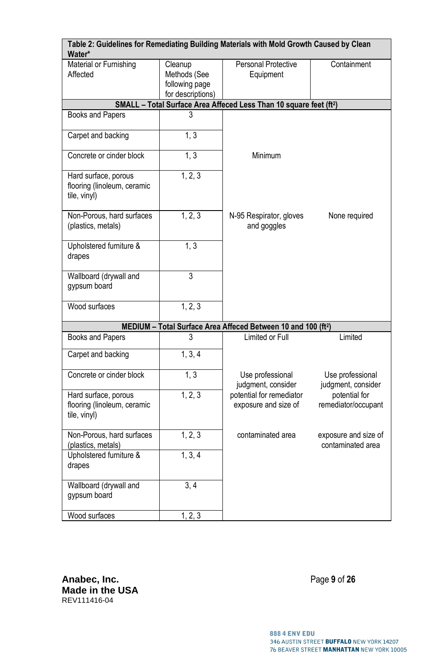| Table 2: Guidelines for Remediating Building Materials with Mold Growth Caused by Clean<br>Water* |                   |                                                                                |                                           |
|---------------------------------------------------------------------------------------------------|-------------------|--------------------------------------------------------------------------------|-------------------------------------------|
| Material or Furnishing                                                                            | Cleanup           | Personal Protective                                                            | Containment                               |
| Affected                                                                                          | Methods (See      | Equipment                                                                      |                                           |
|                                                                                                   | following page    |                                                                                |                                           |
|                                                                                                   | for descriptions) | SMALL - Total Surface Area Affeced Less Than 10 square feet (ft <sup>2</sup> ) |                                           |
| Books and Papers                                                                                  | 3                 |                                                                                |                                           |
|                                                                                                   |                   |                                                                                |                                           |
| Carpet and backing                                                                                | 1, 3              |                                                                                |                                           |
| Concrete or cinder block                                                                          | 1, 3              | Minimum                                                                        |                                           |
| Hard surface, porous<br>flooring (linoleum, ceramic<br>tile, vinyl)                               | 1, 2, 3           |                                                                                |                                           |
| Non-Porous, hard surfaces<br>(plastics, metals)                                                   | 1, 2, 3           | N-95 Respirator, gloves<br>and goggles                                         | None required                             |
| Upholstered furniture &<br>drapes                                                                 | 1, 3              |                                                                                |                                           |
| Wallboard (drywall and<br>qypsum board                                                            | $\overline{3}$    |                                                                                |                                           |
| Wood surfaces                                                                                     | 1, 2, 3           |                                                                                |                                           |
|                                                                                                   |                   | MEDIUM - Total Surface Area Affeced Between 10 and 100 (ft <sup>2</sup> )      |                                           |
| <b>Books and Papers</b>                                                                           | 3                 | I imited or Full                                                               | Limited                                   |
| Carpet and backing                                                                                | 1, 3, 4           |                                                                                |                                           |
| Concrete or cinder block                                                                          | 1, 3              | Use professional<br>judgment, consider                                         | Use professional<br>judgment, consider    |
| Hard surface, porous                                                                              | 1, 2, 3           | potential for remediator                                                       | potential for                             |
| flooring (linoleum, ceramic<br>tile, vinyl)                                                       |                   | exposure and size of                                                           | remediator/occupant                       |
| Non-Porous, hard surfaces<br>(plastics, metals)                                                   | 1, 2, 3           | contaminated area                                                              | exposure and size of<br>contaminated area |
| Upholstered furniture &<br>drapes                                                                 | 1, 3, 4           |                                                                                |                                           |
| Wallboard (drywall and<br>gypsum board                                                            | 3, 4              |                                                                                |                                           |
| Wood surfaces                                                                                     | 1, 2, 3           |                                                                                |                                           |

**Anabec, Inc.** Page 9 of 26 **Made in the USA** REV111416-04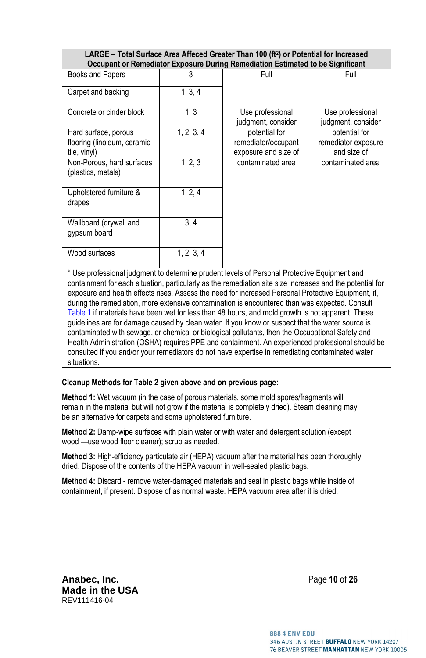| LARGE – Total Surface Area Affeced Greater Than 100 (ft <sup>2</sup> ) or Potential for Increased<br>Occupant or Remediator Exposure During Remediation Estimated to be Significant |            |                                                              |                                                     |
|-------------------------------------------------------------------------------------------------------------------------------------------------------------------------------------|------------|--------------------------------------------------------------|-----------------------------------------------------|
| Books and Papers                                                                                                                                                                    | 3          | Full                                                         | Full                                                |
| Carpet and backing                                                                                                                                                                  | 1, 3, 4    |                                                              |                                                     |
| Concrete or cinder block                                                                                                                                                            | 1, 3       | Use professional<br>judgment, consider                       | Use professional<br>judgment, consider              |
| Hard surface, porous<br>flooring (linoleum, ceramic<br>tile, vinyl)                                                                                                                 | 1, 2, 3, 4 | potential for<br>remediator/occupant<br>exposure and size of | potential for<br>remediator exposure<br>and size of |
| Non-Porous, hard surfaces<br>(plastics, metals)                                                                                                                                     | 1, 2, 3    | contaminated area                                            | contaminated area                                   |
| Upholstered furniture &<br>drapes                                                                                                                                                   | 1, 2, 4    |                                                              |                                                     |
| Wallboard (drywall and<br>gypsum board                                                                                                                                              | 3, 4       |                                                              |                                                     |
| Wood surfaces                                                                                                                                                                       | 1, 2, 3, 4 |                                                              |                                                     |
| * Use professional judament to determine prudent levels of Personal Protective Equipment and                                                                                        |            |                                                              |                                                     |

Use professional judgment to determine prudent levels of Personal Protective Equipment and containment for each situation, particularly as the remediation site size increases and the potential for exposure and health effects rises. Assess the need for increased Personal Protective Equipment, if, during the remediation, more extensive contamination is encountered than was expected. Consult Table 1 if materials have been wet for less than 48 hours, and mold growth is not apparent. These guidelines are for damage caused by clean water. If you know or suspect that the water source is contaminated with sewage, or chemical or biological pollutants, then the Occupational Safety and Health Administration (OSHA) requires PPE and containment. An experienced professional should be consulted if you and/or your remediators do not have expertise in remediating contaminated water situations.

#### **Cleanup Methods for Table 2 given above and on previous page:**

**Method 1:** Wet vacuum (in the case of porous materials, some mold spores/fragments will remain in the material but will not grow if the material is completely dried). Steam cleaning may be an alternative for carpets and some upholstered furniture.

**Method 2:** Damp-wipe surfaces with plain water or with water and detergent solution (except wood —use wood floor cleaner); scrub as needed.

**Method 3:** High-efficiency particulate air (HEPA) vacuum after the material has been thoroughly dried. Dispose of the contents of the HEPA vacuum in well-sealed plastic bags.

**Method 4:** Discard - remove water-damaged materials and seal in plastic bags while inside of containment, if present. Dispose of as normal waste. HEPA vacuum area after it is dried.

**Anabec, Inc.** Page 10 of 26 **Made in the USA** REV111416-04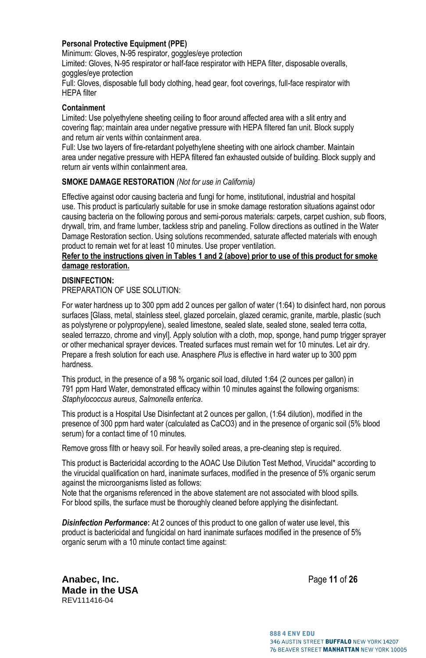#### **Personal Protective Equipment (PPE)**

Minimum: Gloves, N-95 respirator, goggles/eye protection

Limited: Gloves, N-95 respirator or half-face respirator with HEPA filter, disposable overalls, goggles/eye protection

Full: Gloves, disposable full body clothing, head gear, foot coverings, full-face respirator with HEPA filter

#### **Containment**

Limited: Use polyethylene sheeting ceiling to floor around affected area with a slit entry and covering flap; maintain area under negative pressure with HEPA filtered fan unit. Block supply and return air vents within containment area.

Full: Use two layers of fire-retardant polyethylene sheeting with one airlock chamber. Maintain area under negative pressure with HEPA filtered fan exhausted outside of building. Block supply and return air vents within containment area.

#### **SMOKE DAMAGE RESTORATION** *(Not for use in California)*

Effective against odor causing bacteria and fungi for home, institutional, industrial and hospital use. This product is particularly suitable for use in smoke damage restoration situations against odor causing bacteria on the following porous and semi-porous materials: carpets, carpet cushion, sub floors, drywall, trim, and frame lumber, tackless strip and paneling. Follow directions as outlined in the Water Damage Restoration section. Using solutions recommended, saturate affected materials with enough product to remain wet for at least 10 minutes. Use proper ventilation.

#### **Refer to the instructions given in Tables 1 and 2 (above) prior to use of this product for smoke damage restoration.**

#### **DISINFECTION:**

PREPARATION OF USE SOLUTION:

For water hardness up to 300 ppm add 2 ounces per gallon of water (1:64) to disinfect hard, non porous surfaces [Glass, metal, stainless steel, glazed porcelain, glazed ceramic, granite, marble, plastic (such as polystyrene or polypropylene), sealed limestone, sealed slate, sealed stone, sealed terra cotta, sealed terrazzo, chrome and vinyl]. Apply solution with a cloth, mop, sponge, hand pump trigger sprayer or other mechanical sprayer devices. Treated surfaces must remain wet for 10 minutes. Let air dry. Prepare a fresh solution for each use. Anasphere *Plus* is effective in hard water up to 300 ppm hardness.

This product, in the presence of a 98 % organic soil load, diluted 1:64 (2 ounces per gallon) in 791 ppm Hard Water, demonstrated efficacy within 10 minutes against the following organisms: *Staphylococcus aureus*, *Salmonella enterica*.

This product is a Hospital Use Disinfectant at 2 ounces per gallon, (1:64 dilution), modified in the presence of 300 ppm hard water (calculated as CaCO3) and in the presence of organic soil (5% blood serum) for a contact time of 10 minutes.

Remove gross filth or heavy soil. For heavily soiled areas, a pre-cleaning step is required.

This product is Bactericidal according to the AOAC Use Dilution Test Method, Virucidal\* according to the virucidal qualification on hard, inanimate surfaces, modified in the presence of 5% organic serum against the microorganisms listed as follows:

Note that the organisms referenced in the above statement are not associated with blood spills. For blood spills, the surface must be thoroughly cleaned before applying the disinfectant.

*Disinfection Performance***:** At 2 ounces of this product to one gallon of water use level, this product is bactericidal and fungicidal on hard inanimate surfaces modified in the presence of 5% organic serum with a 10 minute contact time against:

**Anabec, Inc.** Page 11 of 26 **Made in the USA** REV111416-04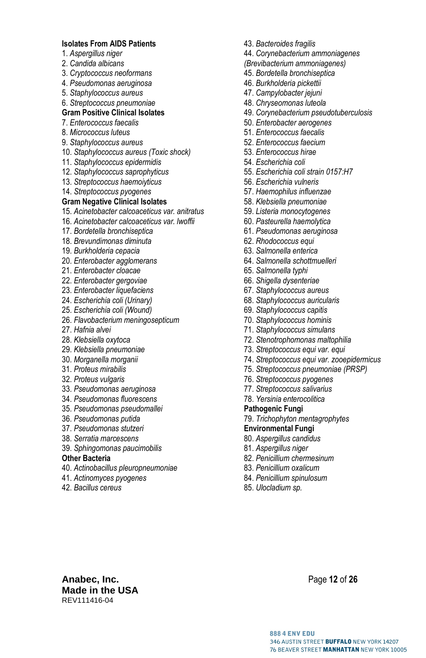#### **Isolates From AIDS Patients**

- 1. *Aspergillus niger*
- 2. *Candida albicans*
- 3. *Cryptococcus neoformans*
- 4. *Pseudomonas aeruginosa*
- 5. *Staphylococcus aureus*
- 6. *Streptococcus pneumoniae*

### **Gram Positive Clinical Isolates**

- 7. *Enterococcus faecalis*
- 8. *Micrococcus luteus*
- 9. *Staphylococcus aureus*
- 10. *Staphylococcus aureus (Toxic shock)*
- 11. *Staphylococcus epidermidis*
- 12. *Staphylococcus saprophyticus*
- 13. *Streptococcus haemoiyticus*
- 14. *Streptococcus pyogenes*

#### **Gram Negative Clinical Isolates**

- 15. *Acinetobacter calcoaceticus var. anitratus*
- 16. *Acinetobacter calcoaceticus var. lwoffii*
- 17. *Bordetella bronchiseptica*
- 18. *Brevundimonas diminuta*
- 19. *Burkholderia cepacia*
- 20. *Enterobacter agglomerans*
- 21. *Enterobacter cloacae*
- 22. *Enterobacter gergoviae*
- 23. *Enterobacter liquefaciens*
- 24. *Escherichia coli (Urinary)*
- 25. *Escherichia coli (Wound)*
- 26. *Flavobacterium meningosepticum*
- 27. *Hafnia alvei*
- 28. *Klebsiella oxytoca*
- 29. *Klebsiella pneumoniae*
- 30. *Morganella morganii*
- 31. *Proteus mirabilis*
- 32. *Proteus vulgaris*
- 33. *Pseudomonas aeruginosa*
- 34. *Pseudomonas fluorescens*
- 35. *Pseudomonas pseudomallei*
- 36. *Pseudomonas putida*
- 37. *Pseudomonas stutzeri*
- 38. *Serratia marcescens*
- 39. *Sphingomonas paucimobilis*

#### **Other Bacteria**

- 40. *Actinobacillus pleuropneumoniae*
- 41. *Actinomyces pyogenes*
- 42. *Bacillus cereus*
- 43. *Bacteroides fragilis*
- 44. *Corynebacterium ammoniagenes*
- *(Brevibacterium ammoniagenes)*
- 45. *Bordetella bronchiseptica*
- 46. *Burkholderia pickettii*
- 47. *Campylobacter jejuni*
- 48. *Chryseomonas luteola*
- 49. *Corynebacterium pseudotuberculosis*
- 50. *Enterobacter aerogenes*
- 51. *Enterococcus faecalis*
- 52. *Enterococcus faecium*
- 53. *Enterococcus hirae*
- 54. *Escherichia coli*
- 55. *Escherichia coli strain 0157:H7*
- 56. *Escherichia vulneris*
- 57. *Haemophilus influenzae*
- 58. *Klebsiella pneumoniae*
- 59. *Listeria monocytogenes*
- 60. *Pasteurella haemolytica*
- 61. *Pseudomonas aeruginosa*
- 62. *Rhodococcus equi*
- 63. *Salmonella enterica*
- 64. *Salmonella schottmuelleri*
- 65. *Salmonella typhi*
- 66. *Shigella dysenteriae*
- 67. *Staphylococcus aureus*
- 68. *Staphylococcus auricularis*
- 69. *Staphylococcus capitis*
- 70. *Staphylococcus hominis*
- 71. *Staphylococcus simulans*
- 72. *Stenotrophomonas maltophilia*
- 73. *Streptococcus equi var. equi*
- 74. *Streptococcus equi var. zooepidermicus*
- 75. *Streptococcus pneumoniae (PRSP)*
- 76. *Streptococcus pyogenes*
- 77. *Streptococcus salivarius*
- 78. *Yersinia enterocolitica*

#### **Pathogenic Fungi**

- 79. *Trichophyton mentagrophytes*
- **Environmental Fungi**
- 80. *Aspergillus candidus*
- 81. *Aspergillus niger*
- 82. *Penicillium chermesinum*
- 83. *Penicillium oxalicum*
- 84. *Penicillium spinulosum*
- 85. *Ulocladium sp.*

**Anabec, Inc.** Page 12 of 26 **Made in the USA** REV111416-04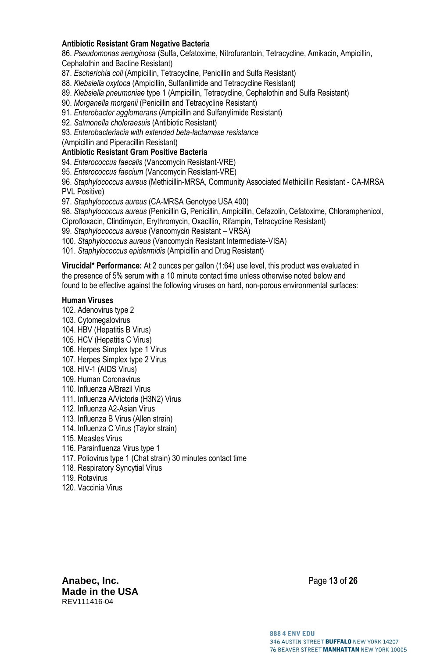#### **Antibiotic Resistant Gram Negative Bacteria**

86. *Pseudomonas aeruginosa* (Sulfa, Cefatoxime, Nitrofurantoin, Tetracycline, Amikacin, Ampicillin, Cephalothin and Bactine Resistant)

- 87. *Escherichia coli* (Ampicillin, Tetracycline, Penicillin and Sulfa Resistant)
- 88. *Klebsiella oxytoca* (Ampicillin, Sulfanilimide and Tetracycline Resistant)
- 89. *Klebsiella pneumoniae* type 1 (Ampicillin, Tetracycline, Cephalothin and Sulfa Resistant)
- 90. *Morganella morganii* (Penicillin and Tetracycline Resistant)
- 91. *Enterobacter agglomerans* (Ampicillin and Sulfanylimide Resistant)
- 92. *Salmonella choleraesuis* (Antibiotic Resistant)
- 93. *Enterobacteriacia with extended beta-lactamase resistance*

(Ampicillin and Piperacillin Resistant)

#### **Antibiotic Resistant Gram Positive Bacteria**

94. *Enterococcus faecalis* (Vancomycin Resistant-VRE)

95. *Enterococcus faecium* (Vancomycin Resistant-VRE)

96. *Staphylococcus aureus* (Methicillin-MRSA, Community Associated Methicillin Resistant - CA-MRSA PVL Positive)

97. *Staphylococcus aureus* (CA-MRSA Genotype USA 400)

98. *Staphylococcus aureus* (Penicillin G, Penicillin, Ampicillin, Cefazolin, Cefatoxime, Chloramphenicol, Ciprofloxacin, Clindimycin, Erythromycin, Oxacillin, Rifampin, Tetracycline Resistant)

99. *Staphylococcus aureus* (Vancomycin Resistant – VRSA)

100. *Staphylococcus aureus* (Vancomycin Resistant Intermediate-VISA)

101. *Staphylococcus epidermidis* (Ampicillin and Drug Resistant)

**Virucidal\* Performance:** At 2 ounces per gallon (1:64) use level, this product was evaluated in the presence of 5% serum with a 10 minute contact time unless otherwise noted below and found to be effective against the following viruses on hard, non-porous environmental surfaces:

#### **Human Viruses**

- 102. Adenovirus type 2
- 103. Cytomegalovirus
- 104. HBV (Hepatitis B Virus)
- 105. HCV (Hepatitis C Virus)
- 106. Herpes Simplex type 1 Virus
- 107. Herpes Simplex type 2 Virus
- 108. HIV-1 (AIDS Virus)
- 109. Human Coronavirus
- 110. Influenza A/Brazil Virus
- 111. Influenza A/Victoria (H3N2) Virus
- 112. Influenza A2-Asian Virus
- 113. Influenza B Virus (Allen strain)
- 114. Influenza C Virus (Taylor strain)
- 115. Measles Virus
- 116. Parainfluenza Virus type 1
- 117. Poliovirus type 1 (Chat strain) 30 minutes contact time
- 118. Respiratory Syncytial Virus
- 119. Rotavirus
- 120. Vaccinia Virus

**Anabec. Inc.** Page 13 of 26 **Made in the USA** REV111416-04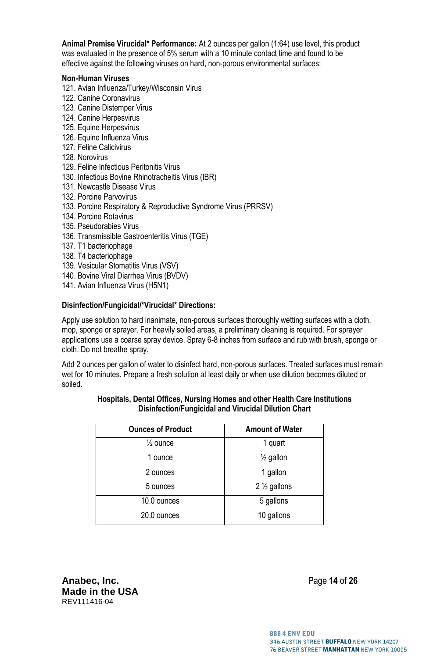**Animal Premise Virucidal\* Performance:** At 2 ounces per gallon (1:64) use level, this product was evaluated in the presence of 5% serum with a 10 minute contact time and found to be effective against the following viruses on hard, non-porous environmental surfaces:

#### **Non-Human Viruses**

- 121. Avian Influenza/Turkey/Wisconsin Virus
- 122. Canine Coronavirus
- 123. Canine Distemper Virus
- 124. Canine Herpesvirus
- 125. Equine Herpesvirus
- 126. Equine Influenza Virus
- 127. Feline Calicivirus
- 128. Norovirus
- 129. Feline Infectious Peritonitis Virus
- 130. Infectious Bovine Rhinotracheitis Virus (IBR)
- 131. Newcastle Disease Virus
- 132. Porcine Parvovirus
- 133. Porcine Respiratory & Reproductive Syndrome Virus (PRRSV)
- 134. Porcine Rotavirus
- 135. Pseudorabies Virus
- 136. Transmissible Gastroenteritis Virus (TGE)
- 137. T1 bacteriophage
- 138. T4 bacteriophage
- 139. Vesicular Stomatitis Virus (VSV)
- 140. Bovine Viral Diarrhea Virus (BVDV)
- 141. Avian Influenza Virus (H5N1)

#### **Disinfection/Fungicidal/\*Virucidal\* Directions:**

Apply use solution to hard inanimate, non-porous surfaces thoroughly wetting surfaces with a cloth, mop, sponge or sprayer. For heavily soiled areas, a preliminary cleaning is required. For sprayer applications use a coarse spray device. Spray 6-8 inches from surface and rub with brush, sponge or cloth. Do not breathe spray.

Add 2 ounces per gallon of water to disinfect hard, non-porous surfaces. Treated surfaces must remain wet for 10 minutes. Prepare a fresh solution at least daily or when use dilution becomes diluted or soiled.

| <b>Ounces of Product</b> | <b>Amount of Water</b> |
|--------------------------|------------------------|
| $\frac{1}{2}$ ounce      | 1 quart                |
| 1 ounce                  | $\frac{1}{2}$ gallon   |
| 2 ounces                 | 1 gallon               |
| 5 ounces                 | $2\frac{1}{2}$ gallons |
| 10.0 ounces              | 5 gallons              |
| 20.0 ounces              | 10 gallons             |

#### **Hospitals, Dental Offices, Nursing Homes and other Health Care Institutions Disinfection/Fungicidal and Virucidal Dilution Chart**

**Anabec. Inc.** Page 14 of 26 **Made in the USA** REV111416-04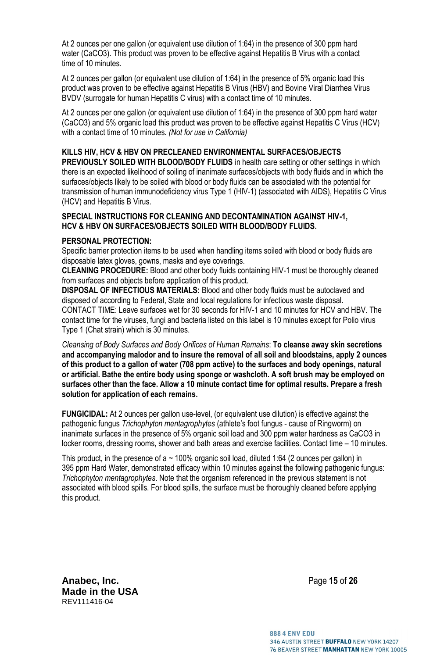At 2 ounces per one gallon (or equivalent use dilution of 1:64) in the presence of 300 ppm hard water (CaCO3). This product was proven to be effective against Hepatitis B Virus with a contact time of 10 minutes.

At 2 ounces per gallon (or equivalent use dilution of 1:64) in the presence of 5% organic load this product was proven to be effective against Hepatitis B Virus (HBV) and Bovine Viral Diarrhea Virus BVDV (surrogate for human Hepatitis C virus) with a contact time of 10 minutes.

At 2 ounces per one gallon (or equivalent use dilution of 1:64) in the presence of 300 ppm hard water (CaCO3) and 5% organic load this product was proven to be effective against Hepatitis C Virus (HCV) with a contact time of 10 minutes. *(Not for use in California)*

#### **KILLS HIV, HCV & HBV ON PRECLEANED ENVIRONMENTAL SURFACES/OBJECTS**

**PREVIOUSLY SOILED WITH BLOOD/BODY FLUIDS** in health care setting or other settings in which there is an expected likelihood of soiling of inanimate surfaces/objects with body fluids and in which the surfaces/objects likely to be soiled with blood or body fluids can be associated with the potential for transmission of human immunodeficiency virus Type 1 (HIV-1) (associated with AIDS), Hepatitis C Virus (HCV) and Hepatitis B Virus.

#### **SPECIAL INSTRUCTIONS FOR CLEANING AND DECONTAMINATION AGAINST HIV-1, HCV & HBV ON SURFACES/OBJECTS SOILED WITH BLOOD/BODY FLUIDS.**

#### **PERSONAL PROTECTION:**

Specific barrier protection items to be used when handling items soiled with blood or body fluids are disposable latex gloves, gowns, masks and eye coverings.

**CLEANING PROCEDURE:** Blood and other body fluids containing HIV-1 must be thoroughly cleaned from surfaces and objects before application of this product.

**DISPOSAL OF INFECTIOUS MATERIALS:** Blood and other body fluids must be autoclaved and disposed of according to Federal, State and local regulations for infectious waste disposal. CONTACT TIME: Leave surfaces wet for 30 seconds for HIV-1 and 10 minutes for HCV and HBV. The contact time for the viruses, fungi and bacteria listed on this label is 10 minutes except for Polio virus Type 1 (Chat strain) which is 30 minutes.

*Cleansing of Body Surfaces and Body Orifices of Human Remains*: **To cleanse away skin secretions and accompanying malodor and to insure the removal of all soil and bloodstains, apply 2 ounces of this product to a gallon of water (708 ppm active) to the surfaces and body openings, natural or artificial. Bathe the entire body using sponge or washcloth. A soft brush may be employed on surfaces other than the face. Allow a 10 minute contact time for optimal results. Prepare a fresh solution for application of each remains.**

**FUNGICIDAL:** At 2 ounces per gallon use-level, (or equivalent use dilution) is effective against the pathogenic fungus *Trichophyton mentagrophytes* (athlete's foot fungus - cause of Ringworm) on inanimate surfaces in the presence of 5% organic soil load and 300 ppm water hardness as CaCO3 in locker rooms, dressing rooms, shower and bath areas and exercise facilities. Contact time – 10 minutes.

This product, in the presence of a  $\sim$  100% organic soil load, diluted 1:64 (2 ounces per gallon) in 395 ppm Hard Water, demonstrated efficacy within 10 minutes against the following pathogenic fungus: *Trichophyton mentagrophytes*. Note that the organism referenced in the previous statement is not associated with blood spills. For blood spills, the surface must be thoroughly cleaned before applying this product.

**Anabec. Inc.** Page 15 of 26 **Made in the USA** REV111416-04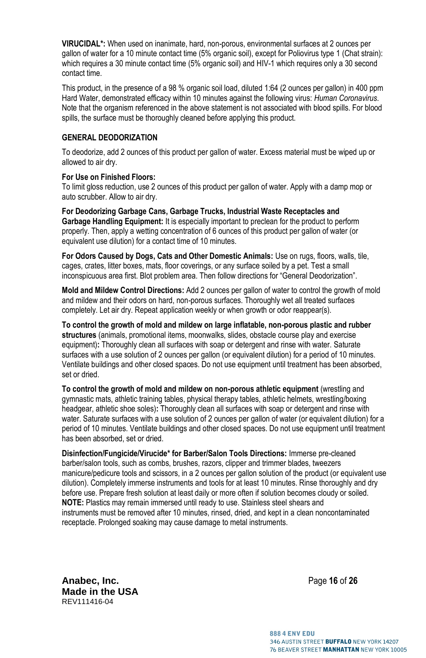**VIRUCIDAL\*:** When used on inanimate, hard, non-porous, environmental surfaces at 2 ounces per gallon of water for a 10 minute contact time (5% organic soil), except for Poliovirus type 1 (Chat strain): which requires a 30 minute contact time (5% organic soil) and HIV-1 which requires only a 30 second contact time.

This product, in the presence of a 98 % organic soil load, diluted 1:64 (2 ounces per gallon) in 400 ppm Hard Water, demonstrated efficacy within 10 minutes against the following virus: *Human Coronavirus*. Note that the organism referenced in the above statement is not associated with blood spills. For blood spills, the surface must be thoroughly cleaned before applying this product.

#### **GENERAL DEODORIZATION**

To deodorize, add 2 ounces of this product per gallon of water. Excess material must be wiped up or allowed to air dry.

#### **For Use on Finished Floors:**

To limit gloss reduction, use 2 ounces of this product per gallon of water. Apply with a damp mop or auto scrubber. Allow to air dry.

**For Deodorizing Garbage Cans, Garbage Trucks, Industrial Waste Receptacles and Garbage Handling Equipment:** It is especially important to preclean for the product to perform properly. Then, apply a wetting concentration of 6 ounces of this product per gallon of water (or equivalent use dilution) for a contact time of 10 minutes.

**For Odors Caused by Dogs, Cats and Other Domestic Animals:** Use on rugs, floors, walls, tile, cages, crates, litter boxes, mats, floor coverings, or any surface soiled by a pet. Test a small inconspicuous area first. Blot problem area. Then follow directions for "General Deodorization".

**Mold and Mildew Control Directions:** Add 2 ounces per gallon of water to control the growth of mold and mildew and their odors on hard, non-porous surfaces. Thoroughly wet all treated surfaces completely. Let air dry. Repeat application weekly or when growth or odor reappear(s).

**To control the growth of mold and mildew on large inflatable, non-porous plastic and rubber structures** (animals, promotional items, moonwalks, slides, obstacle course play and exercise equipment)**:** Thoroughly clean all surfaces with soap or detergent and rinse with water. Saturate surfaces with a use solution of 2 ounces per gallon (or equivalent dilution) for a period of 10 minutes. Ventilate buildings and other closed spaces. Do not use equipment until treatment has been absorbed, set or dried.

**To control the growth of mold and mildew on non-porous athletic equipment** (wrestling and gymnastic mats, athletic training tables, physical therapy tables, athletic helmets, wrestling/boxing headgear, athletic shoe soles)**:** Thoroughly clean all surfaces with soap or detergent and rinse with water. Saturate surfaces with a use solution of 2 ounces per gallon of water (or equivalent dilution) for a period of 10 minutes. Ventilate buildings and other closed spaces. Do not use equipment until treatment has been absorbed, set or dried.

**Disinfection/Fungicide/Virucide\* for Barber/Salon Tools Directions:** Immerse pre-cleaned barber/salon tools, such as combs, brushes, razors, clipper and trimmer blades, tweezers manicure/pedicure tools and scissors, in a 2 ounces per gallon solution of the product (or equivalent use dilution). Completely immerse instruments and tools for at least 10 minutes. Rinse thoroughly and dry before use. Prepare fresh solution at least daily or more often if solution becomes cloudy or soiled. **NOTE:** Plastics may remain immersed until ready to use. Stainless steel shears and instruments must be removed after 10 minutes, rinsed, dried, and kept in a clean noncontaminated receptacle. Prolonged soaking may cause damage to metal instruments.

**Anabec. Inc.** Page 16 of 26 **Made in the USA** REV111416-04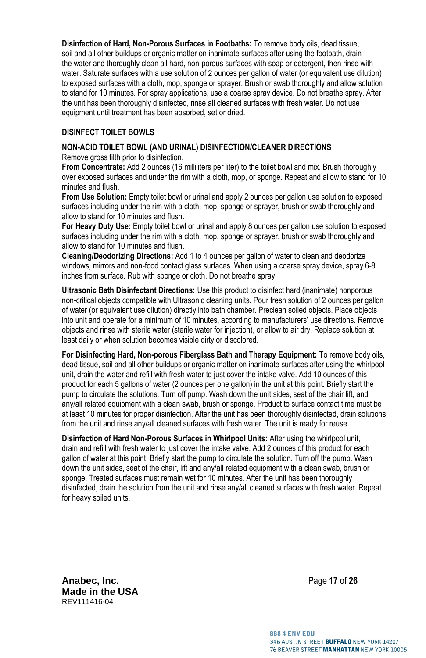**Disinfection of Hard, Non-Porous Surfaces in Footbaths:** To remove body oils, dead tissue, soil and all other buildups or organic matter on inanimate surfaces after using the footbath, drain the water and thoroughly clean all hard, non-porous surfaces with soap or detergent, then rinse with water. Saturate surfaces with a use solution of 2 ounces per gallon of water (or equivalent use dilution) to exposed surfaces with a cloth, mop, sponge or sprayer. Brush or swab thoroughly and allow solution to stand for 10 minutes. For spray applications, use a coarse spray device. Do not breathe spray. After the unit has been thoroughly disinfected, rinse all cleaned surfaces with fresh water. Do not use equipment until treatment has been absorbed, set or dried.

#### **DISINFECT TOILET BOWLS**

#### **NON-ACID TOILET BOWL (AND URINAL) DISINFECTION/CLEANER DIRECTIONS**

Remove gross filth prior to disinfection.

**From Concentrate:** Add 2 ounces (16 milliliters per liter) to the toilet bowl and mix. Brush thoroughly over exposed surfaces and under the rim with a cloth, mop, or sponge. Repeat and allow to stand for 10 minutes and flush.

**From Use Solution:** Empty toilet bowl or urinal and apply 2 ounces per gallon use solution to exposed surfaces including under the rim with a cloth, mop, sponge or sprayer, brush or swab thoroughly and allow to stand for 10 minutes and flush.

**For Heavy Duty Use:** Empty toilet bowl or urinal and apply 8 ounces per gallon use solution to exposed surfaces including under the rim with a cloth, mop, sponge or sprayer, brush or swab thoroughly and allow to stand for 10 minutes and flush.

**Cleaning/Deodorizing Directions:** Add 1 to 4 ounces per gallon of water to clean and deodorize windows, mirrors and non-food contact glass surfaces. When using a coarse spray device, spray 6-8 inches from surface. Rub with sponge or cloth. Do not breathe spray.

**Ultrasonic Bath Disinfectant Directions:** Use this product to disinfect hard (inanimate) nonporous non-critical objects compatible with Ultrasonic cleaning units. Pour fresh solution of 2 ounces per gallon of water (or equivalent use dilution) directly into bath chamber. Preclean soiled objects. Place objects into unit and operate for a minimum of 10 minutes, according to manufacturers' use directions. Remove objects and rinse with sterile water (sterile water for injection), or allow to air dry. Replace solution at least daily or when solution becomes visible dirty or discolored.

**For Disinfecting Hard, Non-porous Fiberglass Bath and Therapy Equipment:** To remove body oils, dead tissue, soil and all other buildups or organic matter on inanimate surfaces after using the whirlpool unit, drain the water and refill with fresh water to just cover the intake valve. Add 10 ounces of this product for each 5 gallons of water (2 ounces per one gallon) in the unit at this point. Briefly start the pump to circulate the solutions. Turn off pump. Wash down the unit sides, seat of the chair lift, and any/all related equipment with a clean swab, brush or sponge. Product to surface contact time must be at least 10 minutes for proper disinfection. After the unit has been thoroughly disinfected, drain solutions from the unit and rinse any/all cleaned surfaces with fresh water. The unit is ready for reuse.

**Disinfection of Hard Non-Porous Surfaces in Whirlpool Units:** After using the whirlpool unit, drain and refill with fresh water to just cover the intake valve. Add 2 ounces of this product for each gallon of water at this point. Briefly start the pump to circulate the solution. Turn off the pump. Wash down the unit sides, seat of the chair, lift and any/all related equipment with a clean swab, brush or sponge. Treated surfaces must remain wet for 10 minutes. After the unit has been thoroughly disinfected, drain the solution from the unit and rinse any/all cleaned surfaces with fresh water. Repeat for heavy soiled units.

**Anabec. Inc.** Page 17 of 26 **Made in the USA** REV111416-04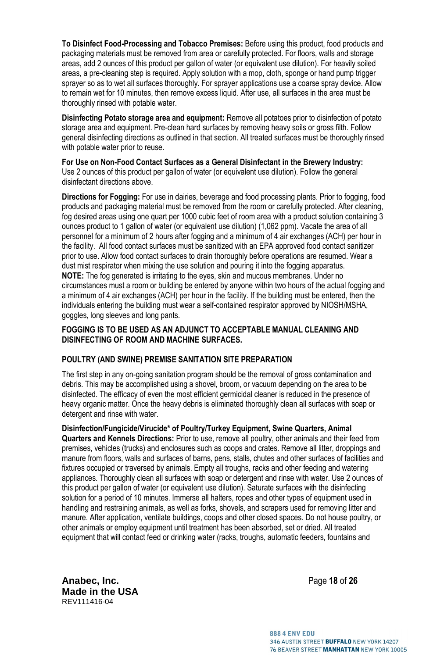**To Disinfect Food-Processing and Tobacco Premises:** Before using this product, food products and packaging materials must be removed from area or carefully protected. For floors, walls and storage areas, add 2 ounces of this product per gallon of water (or equivalent use dilution). For heavily soiled areas, a pre-cleaning step is required. Apply solution with a mop, cloth, sponge or hand pump trigger sprayer so as to wet all surfaces thoroughly. For sprayer applications use a coarse spray device. Allow to remain wet for 10 minutes, then remove excess liquid. After use, all surfaces in the area must be thoroughly rinsed with potable water.

**Disinfecting Potato storage area and equipment:** Remove all potatoes prior to disinfection of potato storage area and equipment. Pre-clean hard surfaces by removing heavy soils or gross filth. Follow general disinfecting directions as outlined in that section. All treated surfaces must be thoroughly rinsed with potable water prior to reuse.

**For Use on Non-Food Contact Surfaces as a General Disinfectant in the Brewery Industry:** Use 2 ounces of this product per gallon of water (or equivalent use dilution). Follow the general disinfectant directions above.

**Directions for Fogging:** For use in dairies, beverage and food processing plants. Prior to fogging, food products and packaging material must be removed from the room or carefully protected. After cleaning, fog desired areas using one quart per 1000 cubic feet of room area with a product solution containing 3 ounces product to 1 gallon of water (or equivalent use dilution) (1,062 ppm). Vacate the area of all personnel for a minimum of 2 hours after fogging and a minimum of 4 air exchanges (ACH) per hour in the facility. All food contact surfaces must be sanitized with an EPA approved food contact sanitizer prior to use. Allow food contact surfaces to drain thoroughly before operations are resumed. Wear a dust mist respirator when mixing the use solution and pouring it into the fogging apparatus. **NOTE:** The fog generated is irritating to the eyes, skin and mucous membranes. Under no circumstances must a room or building be entered by anyone within two hours of the actual fogging and a minimum of 4 air exchanges (ACH) per hour in the facility. If the building must be entered, then the individuals entering the building must wear a self-contained respirator approved by NIOSH/MSHA, goggles, long sleeves and long pants.

#### **FOGGING IS TO BE USED AS AN ADJUNCT TO ACCEPTABLE MANUAL CLEANING AND DISINFECTING OF ROOM AND MACHINE SURFACES.**

#### **POULTRY (AND SWINE) PREMISE SANITATION SITE PREPARATION**

The first step in any on-going sanitation program should be the removal of gross contamination and debris. This may be accomplished using a shovel, broom, or vacuum depending on the area to be disinfected. The efficacy of even the most efficient germicidal cleaner is reduced in the presence of heavy organic matter. Once the heavy debris is eliminated thoroughly clean all surfaces with soap or detergent and rinse with water.

#### **Disinfection/Fungicide/Virucide\* of Poultry/Turkey Equipment, Swine Quarters, Animal**

**Quarters and Kennels Directions:** Prior to use, remove all poultry, other animals and their feed from premises, vehicles (trucks) and enclosures such as coops and crates. Remove all litter, droppings and manure from floors, walls and surfaces of barns, pens, stalls, chutes and other surfaces of facilities and fixtures occupied or traversed by animals. Empty all troughs, racks and other feeding and watering appliances. Thoroughly clean all surfaces with soap or detergent and rinse with water. Use 2 ounces of this product per gallon of water (or equivalent use dilution). Saturate surfaces with the disinfecting solution for a period of 10 minutes. Immerse all halters, ropes and other types of equipment used in handling and restraining animals, as well as forks, shovels, and scrapers used for removing litter and manure. After application, ventilate buildings, coops and other closed spaces. Do not house poultry, or other animals or employ equipment until treatment has been absorbed, set or dried. All treated equipment that will contact feed or drinking water (racks, troughs, automatic feeders, fountains and

**Anabec. Inc.** Page 18 of 26 **Made in the USA** REV111416-04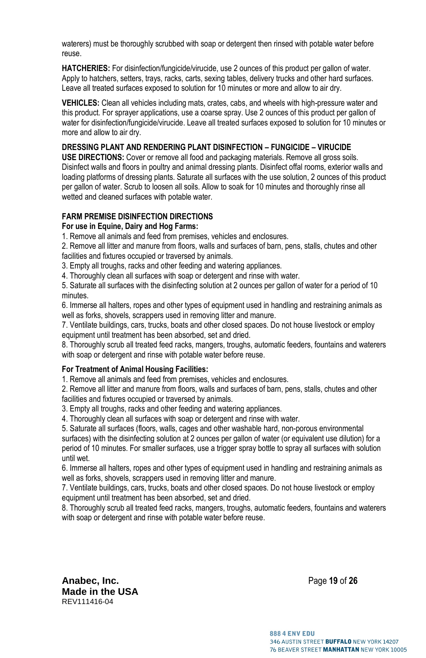waterers) must be thoroughly scrubbed with soap or detergent then rinsed with potable water before reuse.

**HATCHERIES:** For disinfection/fungicide/virucide, use 2 ounces of this product per gallon of water. Apply to hatchers, setters, trays, racks, carts, sexing tables, delivery trucks and other hard surfaces. Leave all treated surfaces exposed to solution for 10 minutes or more and allow to air dry.

**VEHICLES:** Clean all vehicles including mats, crates, cabs, and wheels with high-pressure water and this product. For sprayer applications, use a coarse spray. Use 2 ounces of this product per gallon of water for disinfection/fungicide/virucide. Leave all treated surfaces exposed to solution for 10 minutes or more and allow to air dry.

#### **DRESSING PLANT AND RENDERING PLANT DISINFECTION – FUNGICIDE – VIRUCIDE**

**USE DIRECTIONS:** Cover or remove all food and packaging materials. Remove all gross soils. Disinfect walls and floors in poultry and animal dressing plants. Disinfect offal rooms, exterior walls and loading platforms of dressing plants. Saturate all surfaces with the use solution, 2 ounces of this product per gallon of water. Scrub to loosen all soils. Allow to soak for 10 minutes and thoroughly rinse all wetted and cleaned surfaces with potable water.

#### **FARM PREMISE DISINFECTION DIRECTIONS**

#### **For use in Equine, Dairy and Hog Farms:**

1. Remove all animals and feed from premises, vehicles and enclosures.

2. Remove all litter and manure from floors, walls and surfaces of barn, pens, stalls, chutes and other facilities and fixtures occupied or traversed by animals.

3. Empty all troughs, racks and other feeding and watering appliances.

4. Thoroughly clean all surfaces with soap or detergent and rinse with water.

5. Saturate all surfaces with the disinfecting solution at 2 ounces per gallon of water for a period of 10 minutes.

6. Immerse all halters, ropes and other types of equipment used in handling and restraining animals as well as forks, shovels, scrappers used in removing litter and manure.

7. Ventilate buildings, cars, trucks, boats and other closed spaces. Do not house livestock or employ equipment until treatment has been absorbed, set and dried.

8. Thoroughly scrub all treated feed racks, mangers, troughs, automatic feeders, fountains and waterers with soap or detergent and rinse with potable water before reuse.

#### **For Treatment of Animal Housing Facilities:**

1. Remove all animals and feed from premises, vehicles and enclosures.

2. Remove all litter and manure from floors, walls and surfaces of barn, pens, stalls, chutes and other facilities and fixtures occupied or traversed by animals.

3. Empty all troughs, racks and other feeding and watering appliances.

4. Thoroughly clean all surfaces with soap or detergent and rinse with water.

5. Saturate all surfaces (floors, walls, cages and other washable hard, non-porous environmental

surfaces) with the disinfecting solution at 2 ounces per gallon of water (or equivalent use dilution) for a period of 10 minutes. For smaller surfaces, use a trigger spray bottle to spray all surfaces with solution until wet.

6. Immerse all halters, ropes and other types of equipment used in handling and restraining animals as well as forks, shovels, scrappers used in removing litter and manure.

7. Ventilate buildings, cars, trucks, boats and other closed spaces. Do not house livestock or employ equipment until treatment has been absorbed, set and dried.

8. Thoroughly scrub all treated feed racks, mangers, troughs, automatic feeders, fountains and waterers with soap or detergent and rinse with potable water before reuse.

**Anabec. Inc.** Page 19 of 26 **Made in the USA** REV111416-04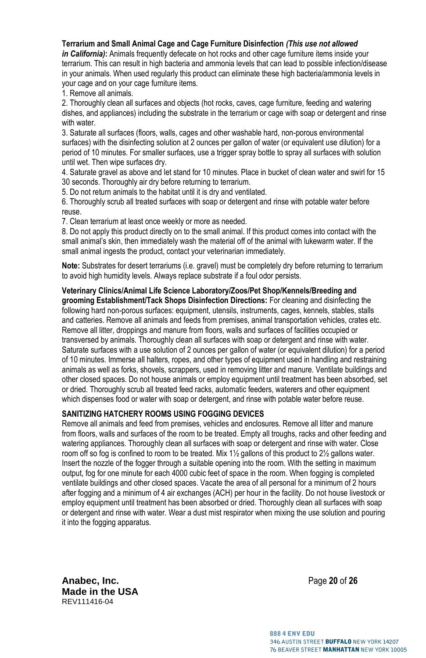#### **Terrarium and Small Animal Cage and Cage Furniture Disinfection** *(This use not allowed*

*in California)***:** Animals frequently defecate on hot rocks and other cage furniture items inside your terrarium. This can result in high bacteria and ammonia levels that can lead to possible infection/disease in your animals. When used regularly this product can eliminate these high bacteria/ammonia levels in your cage and on your cage furniture items.

1. Remove all animals.

2. Thoroughly clean all surfaces and objects (hot rocks, caves, cage furniture, feeding and watering dishes, and appliances) including the substrate in the terrarium or cage with soap or detergent and rinse with water.

3. Saturate all surfaces (floors, walls, cages and other washable hard, non-porous environmental surfaces) with the disinfecting solution at 2 ounces per gallon of water (or equivalent use dilution) for a period of 10 minutes. For smaller surfaces, use a trigger spray bottle to spray all surfaces with solution until wet. Then wipe surfaces dry.

4. Saturate gravel as above and let stand for 10 minutes. Place in bucket of clean water and swirl for 15 30 seconds. Thoroughly air dry before returning to terrarium.

5. Do not return animals to the habitat until it is dry and ventilated.

6. Thoroughly scrub all treated surfaces with soap or detergent and rinse with potable water before reuse.

7. Clean terrarium at least once weekly or more as needed.

8. Do not apply this product directly on to the small animal. If this product comes into contact with the small animal's skin, then immediately wash the material off of the animal with lukewarm water. If the small animal ingests the product, contact your veterinarian immediately.

**Note:** Substrates for desert terrariums (i.e. gravel) must be completely dry before returning to terrarium to avoid high humidity levels. Always replace substrate if a foul odor persists.

**Veterinary Clinics/Animal Life Science Laboratory/Zoos/Pet Shop/Kennels/Breeding and grooming Establishment/Tack Shops Disinfection Directions:** For cleaning and disinfecting the following hard non-porous surfaces: equipment, utensils, instruments, cages, kennels, stables, stalls and catteries. Remove all animals and feeds from premises, animal transportation vehicles, crates etc. Remove all litter, droppings and manure from floors, walls and surfaces of facilities occupied or transversed by animals. Thoroughly clean all surfaces with soap or detergent and rinse with water. Saturate surfaces with a use solution of 2 ounces per gallon of water (or equivalent dilution) for a period of 10 minutes. Immerse all halters, ropes, and other types of equipment used in handling and restraining animals as well as forks, shovels, scrappers, used in removing litter and manure. Ventilate buildings and other closed spaces. Do not house animals or employ equipment until treatment has been absorbed, set or dried. Thoroughly scrub all treated feed racks, automatic feeders, waterers and other equipment which dispenses food or water with soap or detergent, and rinse with potable water before reuse.

#### **SANITIZING HATCHERY ROOMS USING FOGGING DEVICES**

Remove all animals and feed from premises, vehicles and enclosures. Remove all litter and manure from floors, walls and surfaces of the room to be treated. Empty all troughs, racks and other feeding and watering appliances. Thoroughly clean all surfaces with soap or detergent and rinse with water. Close room off so fog is confined to room to be treated. Mix 1½ gallons of this product to 2½ gallons water. Insert the nozzle of the fogger through a suitable opening into the room. With the setting in maximum output, fog for one minute for each 4000 cubic feet of space in the room. When fogging is completed ventilate buildings and other closed spaces. Vacate the area of all personal for a minimum of 2 hours after fogging and a minimum of 4 air exchanges (ACH) per hour in the facility. Do not house livestock or employ equipment until treatment has been absorbed or dried. Thoroughly clean all surfaces with soap or detergent and rinse with water. Wear a dust mist respirator when mixing the use solution and pouring it into the fogging apparatus.

**Anabec. Inc.** Page 20 of 26 **Made in the USA** REV111416-04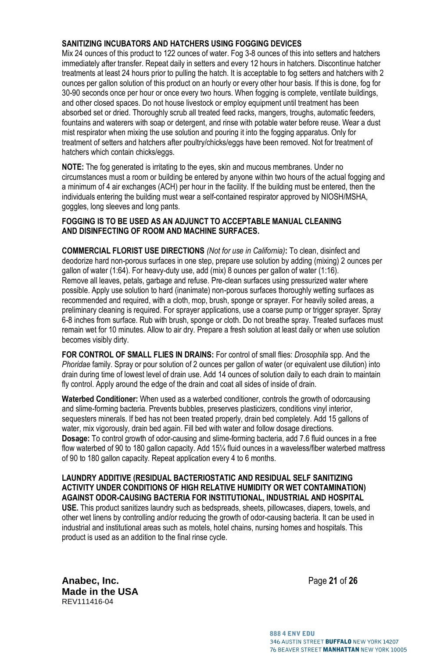#### **SANITIZING INCUBATORS AND HATCHERS USING FOGGING DEVICES**

Mix 24 ounces of this product to 122 ounces of water. Fog 3-8 ounces of this into setters and hatchers immediately after transfer. Repeat daily in setters and every 12 hours in hatchers. Discontinue hatcher treatments at least 24 hours prior to pulling the hatch. It is acceptable to fog setters and hatchers with 2 ounces per gallon solution of this product on an hourly or every other hour basis. If this is done, fog for 30-90 seconds once per hour or once every two hours. When fogging is complete, ventilate buildings, and other closed spaces. Do not house livestock or employ equipment until treatment has been absorbed set or dried. Thoroughly scrub all treated feed racks, mangers, troughs, automatic feeders, fountains and waterers with soap or detergent, and rinse with potable water before reuse. Wear a dust mist respirator when mixing the use solution and pouring it into the fogging apparatus. Only for treatment of setters and hatchers after poultry/chicks/eggs have been removed. Not for treatment of hatchers which contain chicks/eggs.

**NOTE:** The fog generated is irritating to the eyes, skin and mucous membranes. Under no circumstances must a room or building be entered by anyone within two hours of the actual fogging and a minimum of 4 air exchanges (ACH) per hour in the facility. If the building must be entered, then the individuals entering the building must wear a self-contained respirator approved by NIOSH/MSHA, goggles, long sleeves and long pants.

#### **FOGGING IS TO BE USED AS AN ADJUNCT TO ACCEPTABLE MANUAL CLEANING AND DISINFECTING OF ROOM AND MACHINE SURFACES.**

**COMMERCIAL FLORIST USE DIRECTIONS** *(Not for use in California)***:** To clean, disinfect and deodorize hard non-porous surfaces in one step, prepare use solution by adding (mixing) 2 ounces per gallon of water (1:64). For heavy-duty use, add (mix) 8 ounces per gallon of water (1:16). Remove all leaves, petals, garbage and refuse. Pre-clean surfaces using pressurized water where possible. Apply use solution to hard (inanimate) non-porous surfaces thoroughly wetting surfaces as recommended and required, with a cloth, mop, brush, sponge or sprayer. For heavily soiled areas, a preliminary cleaning is required. For sprayer applications, use a coarse pump or trigger sprayer. Spray 6-8 inches from surface. Rub with brush, sponge or cloth. Do not breathe spray. Treated surfaces must remain wet for 10 minutes. Allow to air dry. Prepare a fresh solution at least daily or when use solution becomes visibly dirty.

**FOR CONTROL OF SMALL FLIES IN DRAINS:** For control of small flies: *Drosophila* spp. And the *Phoridae* family. Spray or pour solution of 2 ounces per gallon of water (or equivalent use dilution) into drain during time of lowest level of drain use. Add 14 ounces of solution daily to each drain to maintain fly control. Apply around the edge of the drain and coat all sides of inside of drain.

**Waterbed Conditioner:** When used as a waterbed conditioner, controls the growth of odorcausing and slime-forming bacteria. Prevents bubbles, preserves plasticizers, conditions vinyl interior, sequesters minerals. If bed has not been treated properly, drain bed completely. Add 15 gallons of water, mix vigorously, drain bed again. Fill bed with water and follow dosage directions. **Dosage:** To control growth of odor-causing and slime-forming bacteria, add 7.6 fluid ounces in a free flow waterbed of 90 to 180 gallon capacity. Add 15¼ fluid ounces in a waveless/fiber waterbed mattress of 90 to 180 gallon capacity. Repeat application every 4 to 6 months.

**LAUNDRY ADDITIVE (RESIDUAL BACTERIOSTATIC AND RESIDUAL SELF SANITIZING ACTIVITY UNDER CONDITIONS OF HIGH RELATIVE HUMIDITY OR WET CONTAMINATION) AGAINST ODOR-CAUSING BACTERIA FOR INSTITUTIONAL, INDUSTRIAL AND HOSPITAL USE.** This product sanitizes laundry such as bedspreads, sheets, pillowcases, diapers, towels, and other wet linens by controlling and/or reducing the growth of odor-causing bacteria. It can be used in industrial and institutional areas such as motels, hotel chains, nursing homes and hospitals. This product is used as an addition to the final rinse cycle.

**Anabec. Inc.** Page 21 of 26 **Made in the USA** REV111416-04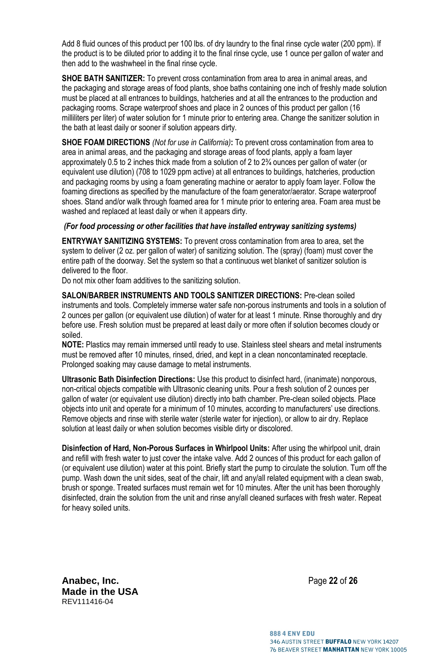Add 8 fluid ounces of this product per 100 lbs. of dry laundry to the final rinse cycle water (200 ppm). If the product is to be diluted prior to adding it to the final rinse cycle, use 1 ounce per gallon of water and then add to the washwheel in the final rinse cycle.

**SHOE BATH SANITIZER:** To prevent cross contamination from area to area in animal areas, and the packaging and storage areas of food plants, shoe baths containing one inch of freshly made solution must be placed at all entrances to buildings, hatcheries and at all the entrances to the production and packaging rooms. Scrape waterproof shoes and place in 2 ounces of this product per gallon (16 milliliters per liter) of water solution for 1 minute prior to entering area. Change the sanitizer solution in the bath at least daily or sooner if solution appears dirty.

**SHOE FOAM DIRECTIONS** *(Not for use in California)***:** To prevent cross contamination from area to area in animal areas, and the packaging and storage areas of food plants, apply a foam layer approximately 0.5 to 2 inches thick made from a solution of 2 to 2¾ ounces per gallon of water (or equivalent use dilution) (708 to 1029 ppm active) at all entrances to buildings, hatcheries, production and packaging rooms by using a foam generating machine or aerator to apply foam layer. Follow the foaming directions as specified by the manufacture of the foam generator/aerator. Scrape waterproof shoes. Stand and/or walk through foamed area for 1 minute prior to entering area. Foam area must be washed and replaced at least daily or when it appears dirty.

#### *(For food processing or other facilities that have installed entryway sanitizing systems)*

**ENTRYWAY SANITIZING SYSTEMS:** To prevent cross contamination from area to area, set the system to deliver (2 oz. per gallon of water) of sanitizing solution. The (spray) (foam) must cover the entire path of the doorway. Set the system so that a continuous wet blanket of sanitizer solution is delivered to the floor.

Do not mix other foam additives to the sanitizing solution.

**SALON/BARBER INSTRUMENTS AND TOOLS SANITIZER DIRECTIONS:** Pre-clean soiled instruments and tools. Completely immerse water safe non-porous instruments and tools in a solution of 2 ounces per gallon (or equivalent use dilution) of water for at least 1 minute. Rinse thoroughly and dry before use. Fresh solution must be prepared at least daily or more often if solution becomes cloudy or soiled.

**NOTE:** Plastics may remain immersed until ready to use. Stainless steel shears and metal instruments must be removed after 10 minutes, rinsed, dried, and kept in a clean noncontaminated receptacle. Prolonged soaking may cause damage to metal instruments.

**Ultrasonic Bath Disinfection Directions:** Use this product to disinfect hard, (inanimate) nonporous, non-critical objects compatible with Ultrasonic cleaning units. Pour a fresh solution of 2 ounces per gallon of water (or equivalent use dilution) directly into bath chamber. Pre-clean soiled objects. Place objects into unit and operate for a minimum of 10 minutes, according to manufacturers' use directions. Remove objects and rinse with sterile water (sterile water for injection), or allow to air dry. Replace solution at least daily or when solution becomes visible dirty or discolored.

**Disinfection of Hard, Non-Porous Surfaces in Whirlpool Units:** After using the whirlpool unit, drain and refill with fresh water to just cover the intake valve. Add 2 ounces of this product for each gallon of (or equivalent use dilution) water at this point. Briefly start the pump to circulate the solution. Turn off the pump. Wash down the unit sides, seat of the chair, lift and any/all related equipment with a clean swab, brush or sponge. Treated surfaces must remain wet for 10 minutes. After the unit has been thoroughly disinfected, drain the solution from the unit and rinse any/all cleaned surfaces with fresh water. Repeat for heavy soiled units.

**Anabec. Inc.** Page 22 of 26 **Made in the USA** REV111416-04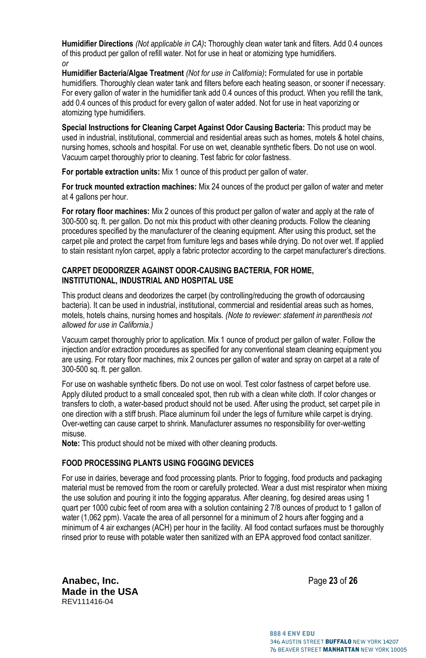**Humidifier Directions** *(Not applicable in CA)***:** Thoroughly clean water tank and filters. Add 0.4 ounces of this product per gallon of refill water. Not for use in heat or atomizing type humidifiers. *or*

**Humidifier Bacteria/Algae Treatment** *(Not for use in California)***:** Formulated for use in portable humidifiers. Thoroughly clean water tank and filters before each heating season, or sooner if necessary. For every gallon of water in the humidifier tank add 0.4 ounces of this product. When you refill the tank, add 0.4 ounces of this product for every gallon of water added. Not for use in heat vaporizing or atomizing type humidifiers.

**Special Instructions for Cleaning Carpet Against Odor Causing Bacteria:** This product may be used in industrial, institutional, commercial and residential areas such as homes, motels & hotel chains, nursing homes, schools and hospital. For use on wet, cleanable synthetic fibers. Do not use on wool. Vacuum carpet thoroughly prior to cleaning. Test fabric for color fastness.

**For portable extraction units:** Mix 1 ounce of this product per gallon of water.

**For truck mounted extraction machines:** Mix 24 ounces of the product per gallon of water and meter at 4 gallons per hour.

**For rotary floor machines:** Mix 2 ounces of this product per gallon of water and apply at the rate of 300-500 sq. ft. per gallon. Do not mix this product with other cleaning products. Follow the cleaning procedures specified by the manufacturer of the cleaning equipment. After using this product, set the carpet pile and protect the carpet from furniture legs and bases while drying. Do not over wet. If applied to stain resistant nylon carpet, apply a fabric protector according to the carpet manufacturer's directions.

#### **CARPET DEODORIZER AGAINST ODOR-CAUSING BACTERIA, FOR HOME, INSTITUTIONAL, INDUSTRIAL AND HOSPITAL USE**

This product cleans and deodorizes the carpet (by controlling/reducing the growth of odorcausing bacteria). It can be used in industrial, institutional, commercial and residential areas such as homes, motels, hotels chains, nursing homes and hospitals. *(Note to reviewer: statement in parenthesis not allowed for use in California.)*

Vacuum carpet thoroughly prior to application. Mix 1 ounce of product per gallon of water. Follow the injection and/or extraction procedures as specified for any conventional steam cleaning equipment you are using. For rotary floor machines, mix 2 ounces per gallon of water and spray on carpet at a rate of 300-500 sq. ft. per gallon.

For use on washable synthetic fibers. Do not use on wool. Test color fastness of carpet before use. Apply diluted product to a small concealed spot, then rub with a clean white cloth. If color changes or transfers to cloth, a water-based product should not be used. After using the product, set carpet pile in one direction with a stiff brush. Place aluminum foil under the legs of furniture while carpet is drying. Over-wetting can cause carpet to shrink. Manufacturer assumes no responsibility for over-wetting misuse.

**Note:** This product should not be mixed with other cleaning products.

#### **FOOD PROCESSING PLANTS USING FOGGING DEVICES**

For use in dairies, beverage and food processing plants. Prior to fogging, food products and packaging material must be removed from the room or carefully protected. Wear a dust mist respirator when mixing the use solution and pouring it into the fogging apparatus. After cleaning, fog desired areas using 1 quart per 1000 cubic feet of room area with a solution containing 2 7/8 ounces of product to 1 gallon of water (1,062 ppm). Vacate the area of all personnel for a minimum of 2 hours after fogging and a minimum of 4 air exchanges (ACH) per hour in the facility. All food contact surfaces must be thoroughly rinsed prior to reuse with potable water then sanitized with an EPA approved food contact sanitizer.

**Anabec. Inc.** Page 23 of 26 **Made in the USA** REV111416-04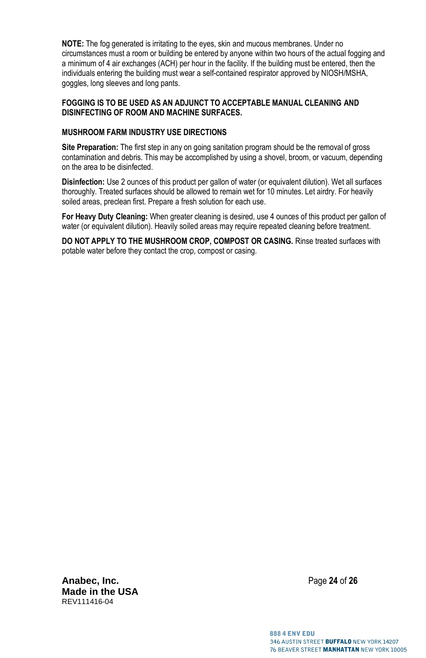**NOTE:** The fog generated is irritating to the eyes, skin and mucous membranes. Under no circumstances must a room or building be entered by anyone within two hours of the actual fogging and a minimum of 4 air exchanges (ACH) per hour in the facility. If the building must be entered, then the individuals entering the building must wear a self-contained respirator approved by NIOSH/MSHA, goggles, long sleeves and long pants.

#### **FOGGING IS TO BE USED AS AN ADJUNCT TO ACCEPTABLE MANUAL CLEANING AND DISINFECTING OF ROOM AND MACHINE SURFACES.**

#### **MUSHROOM FARM INDUSTRY USE DIRECTIONS**

**Site Preparation:** The first step in any on going sanitation program should be the removal of gross contamination and debris. This may be accomplished by using a shovel, broom, or vacuum, depending on the area to be disinfected.

**Disinfection:** Use 2 ounces of this product per gallon of water (or equivalent dilution). Wet all surfaces thoroughly. Treated surfaces should be allowed to remain wet for 10 minutes. Let airdry. For heavily soiled areas, preclean first. Prepare a fresh solution for each use.

**For Heavy Duty Cleaning:** When greater cleaning is desired, use 4 ounces of this product per gallon of water (or equivalent dilution). Heavily soiled areas may require repeated cleaning before treatment.

**DO NOT APPLY TO THE MUSHROOM CROP, COMPOST OR CASING.** Rinse treated surfaces with potable water before they contact the crop, compost or casing.

**Anabec. Inc.** Page 24 of 26 **Made in the USA** REV111416-04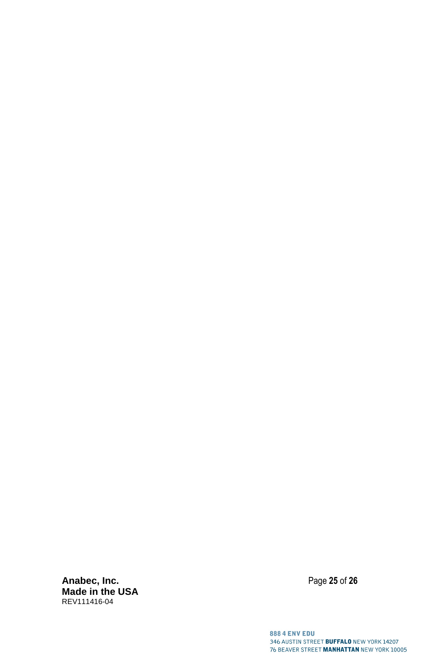Anabec, Inc. Page 25 of 26 **Made in the USA** REV111416 -04

**8884 ENV EDU** 346 AUSTIN STREET BUFFALO NEW YORK 14207<br>76 BEAVER STREET MANHATTAN NEW YORK 10005